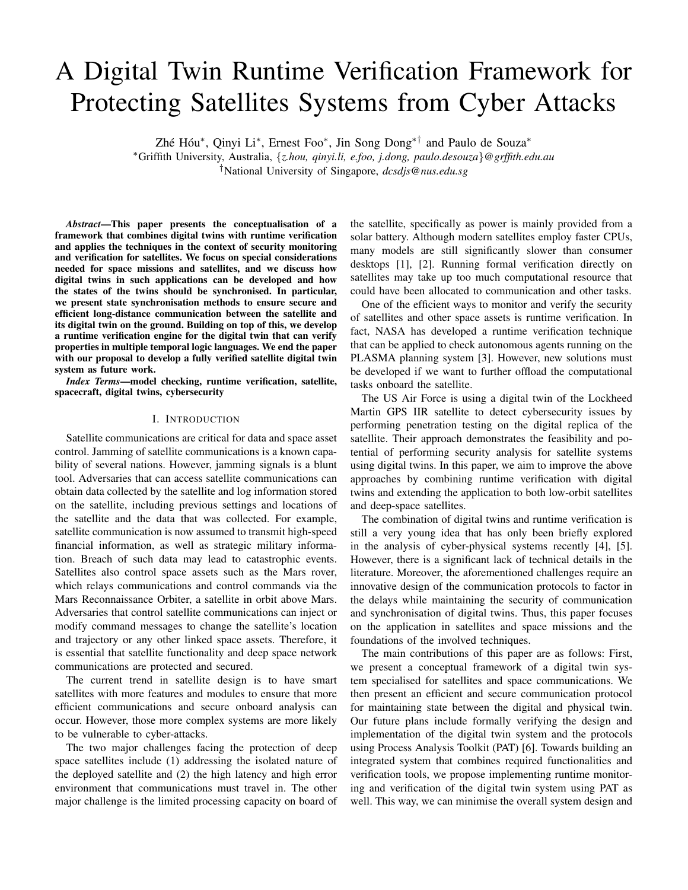# A Digital Twin Runtime Verification Framework for Protecting Satellites Systems from Cyber Attacks

Zhé Hóu\*, Qinyi Li\*, Ernest Foo\*, Jin Song Dong\*<sup>†</sup> and Paulo de Souza\*

<sup>∗</sup>Griffith University, Australia, {*z.hou, qinyi.li, e.foo, j.dong, paulo.desouza*}*@grffith.edu.au* †National University of Singapore, *dcsdjs@nus.edu.sg*

*Abstract*—This paper presents the conceptualisation of a framework that combines digital twins with runtime verification and applies the techniques in the context of security monitoring and verification for satellites. We focus on special considerations needed for space missions and satellites, and we discuss how digital twins in such applications can be developed and how the states of the twins should be synchronised. In particular, we present state synchronisation methods to ensure secure and efficient long-distance communication between the satellite and its digital twin on the ground. Building on top of this, we develop a runtime verification engine for the digital twin that can verify properties in multiple temporal logic languages. We end the paper with our proposal to develop a fully verified satellite digital twin system as future work.

*Index Terms*—model checking, runtime verification, satellite, spacecraft, digital twins, cybersecurity

# I. INTRODUCTION

Satellite communications are critical for data and space asset control. Jamming of satellite communications is a known capability of several nations. However, jamming signals is a blunt tool. Adversaries that can access satellite communications can obtain data collected by the satellite and log information stored on the satellite, including previous settings and locations of the satellite and the data that was collected. For example, satellite communication is now assumed to transmit high-speed financial information, as well as strategic military information. Breach of such data may lead to catastrophic events. Satellites also control space assets such as the Mars rover, which relays communications and control commands via the Mars Reconnaissance Orbiter, a satellite in orbit above Mars. Adversaries that control satellite communications can inject or modify command messages to change the satellite's location and trajectory or any other linked space assets. Therefore, it is essential that satellite functionality and deep space network communications are protected and secured.

The current trend in satellite design is to have smart satellites with more features and modules to ensure that more efficient communications and secure onboard analysis can occur. However, those more complex systems are more likely to be vulnerable to cyber-attacks.

The two major challenges facing the protection of deep space satellites include (1) addressing the isolated nature of the deployed satellite and (2) the high latency and high error environment that communications must travel in. The other major challenge is the limited processing capacity on board of the satellite, specifically as power is mainly provided from a solar battery. Although modern satellites employ faster CPUs, many models are still significantly slower than consumer desktops [1], [2]. Running formal verification directly on satellites may take up too much computational resource that could have been allocated to communication and other tasks.

One of the efficient ways to monitor and verify the security of satellites and other space assets is runtime verification. In fact, NASA has developed a runtime verification technique that can be applied to check autonomous agents running on the PLASMA planning system [3]. However, new solutions must be developed if we want to further offload the computational tasks onboard the satellite.

The US Air Force is using a digital twin of the Lockheed Martin GPS IIR satellite to detect cybersecurity issues by performing penetration testing on the digital replica of the satellite. Their approach demonstrates the feasibility and potential of performing security analysis for satellite systems using digital twins. In this paper, we aim to improve the above approaches by combining runtime verification with digital twins and extending the application to both low-orbit satellites and deep-space satellites.

The combination of digital twins and runtime verification is still a very young idea that has only been briefly explored in the analysis of cyber-physical systems recently [4], [5]. However, there is a significant lack of technical details in the literature. Moreover, the aforementioned challenges require an innovative design of the communication protocols to factor in the delays while maintaining the security of communication and synchronisation of digital twins. Thus, this paper focuses on the application in satellites and space missions and the foundations of the involved techniques.

The main contributions of this paper are as follows: First, we present a conceptual framework of a digital twin system specialised for satellites and space communications. We then present an efficient and secure communication protocol for maintaining state between the digital and physical twin. Our future plans include formally verifying the design and implementation of the digital twin system and the protocols using Process Analysis Toolkit (PAT) [6]. Towards building an integrated system that combines required functionalities and verification tools, we propose implementing runtime monitoring and verification of the digital twin system using PAT as well. This way, we can minimise the overall system design and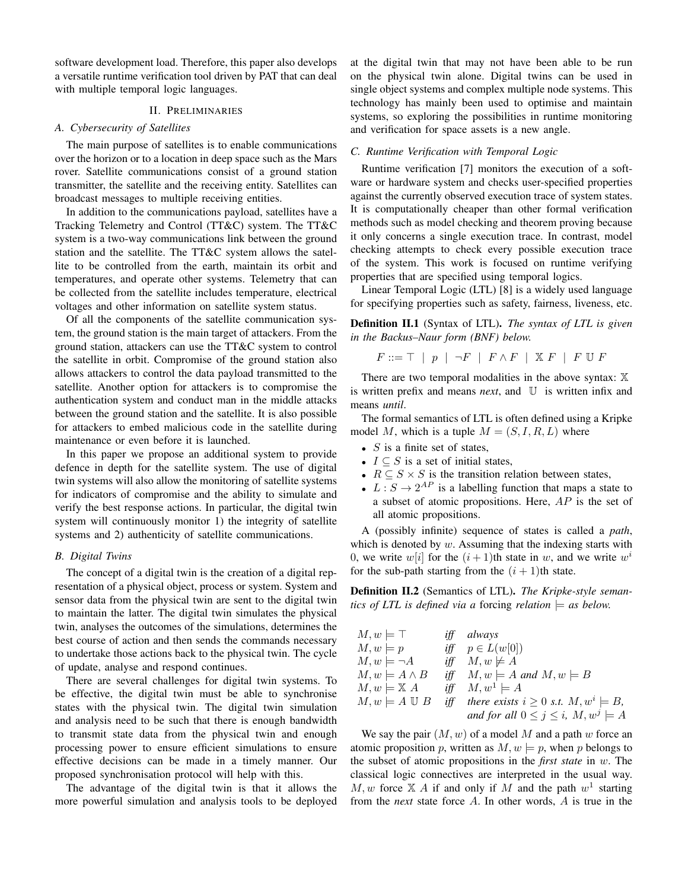software development load. Therefore, this paper also develops a versatile runtime verification tool driven by PAT that can deal with multiple temporal logic languages.

# II. PRELIMINARIES

#### *A. Cybersecurity of Satellites*

The main purpose of satellites is to enable communications over the horizon or to a location in deep space such as the Mars rover. Satellite communications consist of a ground station transmitter, the satellite and the receiving entity. Satellites can broadcast messages to multiple receiving entities.

In addition to the communications payload, satellites have a Tracking Telemetry and Control (TT&C) system. The TT&C system is a two-way communications link between the ground station and the satellite. The TT&C system allows the satellite to be controlled from the earth, maintain its orbit and temperatures, and operate other systems. Telemetry that can be collected from the satellite includes temperature, electrical voltages and other information on satellite system status.

Of all the components of the satellite communication system, the ground station is the main target of attackers. From the ground station, attackers can use the TT&C system to control the satellite in orbit. Compromise of the ground station also allows attackers to control the data payload transmitted to the satellite. Another option for attackers is to compromise the authentication system and conduct man in the middle attacks between the ground station and the satellite. It is also possible for attackers to embed malicious code in the satellite during maintenance or even before it is launched.

In this paper we propose an additional system to provide defence in depth for the satellite system. The use of digital twin systems will also allow the monitoring of satellite systems for indicators of compromise and the ability to simulate and verify the best response actions. In particular, the digital twin system will continuously monitor 1) the integrity of satellite systems and 2) authenticity of satellite communications.

## *B. Digital Twins*

The concept of a digital twin is the creation of a digital representation of a physical object, process or system. System and sensor data from the physical twin are sent to the digital twin to maintain the latter. The digital twin simulates the physical twin, analyses the outcomes of the simulations, determines the best course of action and then sends the commands necessary to undertake those actions back to the physical twin. The cycle of update, analyse and respond continues.

There are several challenges for digital twin systems. To be effective, the digital twin must be able to synchronise states with the physical twin. The digital twin simulation and analysis need to be such that there is enough bandwidth to transmit state data from the physical twin and enough processing power to ensure efficient simulations to ensure effective decisions can be made in a timely manner. Our proposed synchronisation protocol will help with this.

The advantage of the digital twin is that it allows the more powerful simulation and analysis tools to be deployed at the digital twin that may not have been able to be run on the physical twin alone. Digital twins can be used in single object systems and complex multiple node systems. This technology has mainly been used to optimise and maintain systems, so exploring the possibilities in runtime monitoring and verification for space assets is a new angle.

#### *C. Runtime Verification with Temporal Logic*

Runtime verification [7] monitors the execution of a software or hardware system and checks user-specified properties against the currently observed execution trace of system states. It is computationally cheaper than other formal verification methods such as model checking and theorem proving because it only concerns a single execution trace. In contrast, model checking attempts to check every possible execution trace of the system. This work is focused on runtime verifying properties that are specified using temporal logics.

Linear Temporal Logic (LTL) [8] is a widely used language for specifying properties such as safety, fairness, liveness, etc.

Definition II.1 (Syntax of LTL). *The syntax of LTL is given in the Backus–Naur form (BNF) below.*

$$
F ::= \top \mid p \mid \neg F \mid F \wedge F \mid \mathbb{X} F \mid F \mathbb{U} F
$$

There are two temporal modalities in the above syntax:  $X$ is written prefix and means *next*, and U is written infix and means *until*.

The formal semantics of LTL is often defined using a Kripke model M, which is a tuple  $M = (S, I, R, L)$  where

- $S$  is a finite set of states,
- $I \subseteq S$  is a set of initial states,
- $R \subseteq S \times S$  is the transition relation between states,
- $L: S \to 2^{AP}$  is a labelling function that maps a state to a subset of atomic propositions. Here, AP is the set of all atomic propositions.

A (possibly infinite) sequence of states is called a *path*, which is denoted by  $w$ . Assuming that the indexing starts with 0, we write  $w[i]$  for the  $(i + 1)$ th state in w, and we write  $w^{i}$ for the sub-path starting from the  $(i + 1)$ th state.

Definition II.2 (Semantics of LTL). *The Kripke-style semantics of LTL is defined via a forcing relation*  $\models$  *as below.* 

| $M, w \models \top$         | <i>iff</i> always                                                             |
|-----------------------------|-------------------------------------------------------------------------------|
| $M, w \models p$            | iff $p \in L(w[0])$                                                           |
| $M, w \models \neg A$       | iff $M, w \not\models A$                                                      |
| $M, w \models A \land B$    | iff $M, w \models A$ and $M, w \models B$                                     |
| $M, w \models \mathbb{X} A$ | iff $M, w^1 \models A$                                                        |
|                             | $M, w \models A \cup B$ iff there exists $i \geq 0$ s.t. $M, w^i \models B$ , |
|                             | and for all $0 \le j \le i$ , $M, w^j \models A$                              |

We say the pair  $(M, w)$  of a model M and a path w force an atomic proposition p, written as  $M, w \models p$ , when p belongs to the subset of atomic propositions in the *first state* in w. The classical logic connectives are interpreted in the usual way.  $M, w$  force  $X A$  if and only if M and the path  $w<sup>1</sup>$  starting from the *next* state force A. In other words, A is true in the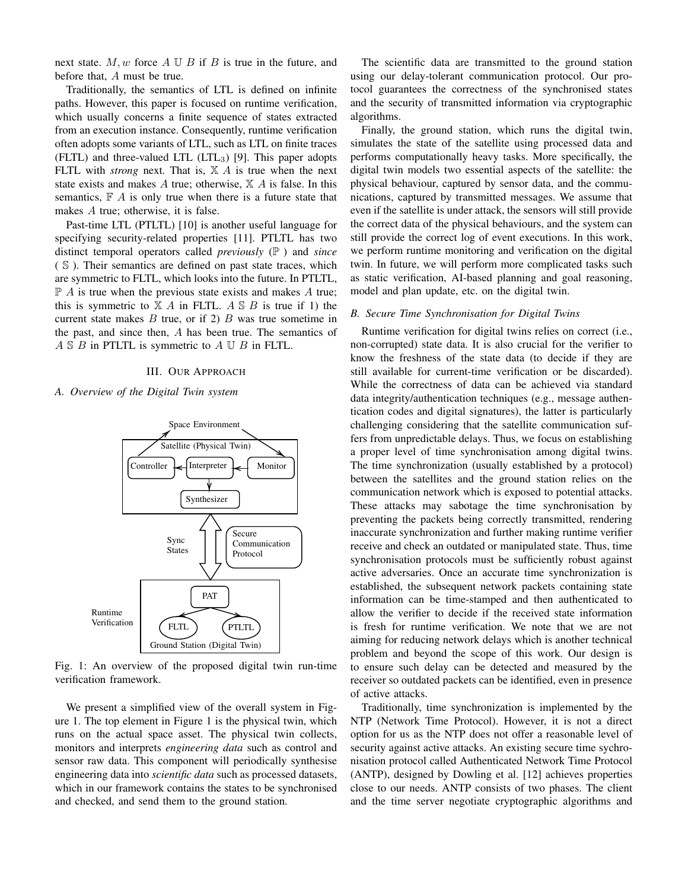next state.  $M, w$  force  $A \cup B$  if  $B$  is true in the future, and before that, A must be true.

Traditionally, the semantics of LTL is defined on infinite paths. However, this paper is focused on runtime verification, which usually concerns a finite sequence of states extracted from an execution instance. Consequently, runtime verification often adopts some variants of LTL, such as LTL on finite traces  $(FLTL)$  and three-valued LTL  $(LTL<sub>3</sub>)$  [9]. This paper adopts FLTL with *strong* next. That is,  $X \n A$  is true when the next state exists and makes A true; otherwise,  $X \nightharpoonup A$  is false. In this semantics,  $F \nightharpoonup A$  is only true when there is a future state that makes A true; otherwise, it is false.

Past-time LTL (PTLTL) [10] is another useful language for specifying security-related properties [11]. PTLTL has two distinct temporal operators called *previously* (P ) and *since* ( S ). Their semantics are defined on past state traces, which are symmetric to FLTL, which looks into the future. In PTLTL,  $\mathbb{P}$  A is true when the previous state exists and makes A true; this is symmetric to  $X$  A in FLTL. A  $S$  B is true if 1) the current state makes  $B$  true, or if 2)  $B$  was true sometime in the past, and since then, A has been true. The semantics of  $A \S B$  in PTLTL is symmetric to  $A \Upsilon B$  in FLTL.

#### III. OUR APPROACH

#### *A. Overview of the Digital Twin system*



Fig. 1: An overview of the proposed digital twin run-time verification framework.

We present a simplified view of the overall system in Figure 1. The top element in Figure 1 is the physical twin, which runs on the actual space asset. The physical twin collects, monitors and interprets *engineering data* such as control and sensor raw data. This component will periodically synthesise engineering data into *scientific data* such as processed datasets, which in our framework contains the states to be synchronised and checked, and send them to the ground station.

The scientific data are transmitted to the ground station using our delay-tolerant communication protocol. Our protocol guarantees the correctness of the synchronised states and the security of transmitted information via cryptographic algorithms.

Finally, the ground station, which runs the digital twin, simulates the state of the satellite using processed data and performs computationally heavy tasks. More specifically, the digital twin models two essential aspects of the satellite: the physical behaviour, captured by sensor data, and the communications, captured by transmitted messages. We assume that even if the satellite is under attack, the sensors will still provide the correct data of the physical behaviours, and the system can still provide the correct log of event executions. In this work, we perform runtime monitoring and verification on the digital twin. In future, we will perform more complicated tasks such as static verification, AI-based planning and goal reasoning, model and plan update, etc. on the digital twin.

#### *B. Secure Time Synchronisation for Digital Twins*

Runtime verification for digital twins relies on correct (i.e., non-corrupted) state data. It is also crucial for the verifier to know the freshness of the state data (to decide if they are still available for current-time verification or be discarded). While the correctness of data can be achieved via standard data integrity/authentication techniques (e.g., message authentication codes and digital signatures), the latter is particularly challenging considering that the satellite communication suffers from unpredictable delays. Thus, we focus on establishing a proper level of time synchronisation among digital twins. The time synchronization (usually established by a protocol) between the satellites and the ground station relies on the communication network which is exposed to potential attacks. These attacks may sabotage the time synchronisation by preventing the packets being correctly transmitted, rendering inaccurate synchronization and further making runtime verifier receive and check an outdated or manipulated state. Thus, time synchronisation protocols must be sufficiently robust against active adversaries. Once an accurate time synchronization is established, the subsequent network packets containing state information can be time-stamped and then authenticated to allow the verifier to decide if the received state information is fresh for runtime verification. We note that we are not aiming for reducing network delays which is another technical problem and beyond the scope of this work. Our design is to ensure such delay can be detected and measured by the receiver so outdated packets can be identified, even in presence of active attacks.

Traditionally, time synchronization is implemented by the NTP (Network Time Protocol). However, it is not a direct option for us as the NTP does not offer a reasonable level of security against active attacks. An existing secure time sychronisation protocol called Authenticated Network Time Protocol (ANTP), designed by Dowling et al. [12] achieves properties close to our needs. ANTP consists of two phases. The client and the time server negotiate cryptographic algorithms and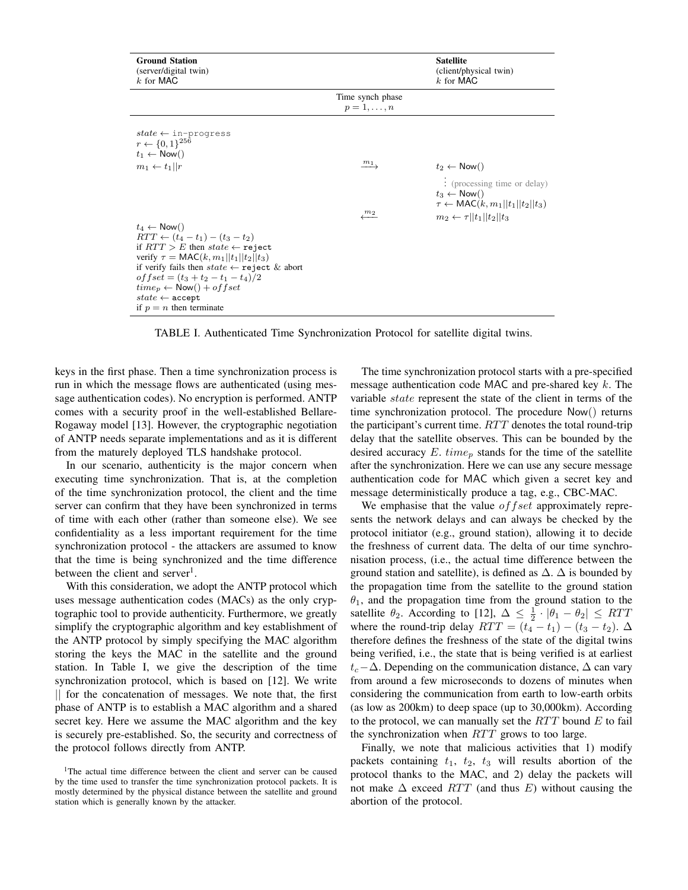| <b>Ground Station</b><br>(server/digital twin)<br>$k$ for MAC                                                                                                                                                                                                                                                                                                                                                                                                                                                                                                |                                                  | <b>Satellite</b><br>(client/physical twin)<br>$k$ for MAC                                                                                                                                                |
|--------------------------------------------------------------------------------------------------------------------------------------------------------------------------------------------------------------------------------------------------------------------------------------------------------------------------------------------------------------------------------------------------------------------------------------------------------------------------------------------------------------------------------------------------------------|--------------------------------------------------|----------------------------------------------------------------------------------------------------------------------------------------------------------------------------------------------------------|
|                                                                                                                                                                                                                                                                                                                                                                                                                                                                                                                                                              | Time synch phase<br>$p=1,\ldots,n$               |                                                                                                                                                                                                          |
| $state \leftarrow$ in-progress<br>$r \leftarrow \{0, 1\}^{256}$<br>$t_1 \leftarrow \mathsf{Now}()$<br>$m_1 \leftarrow t_1    r$<br>$t_4 \leftarrow \mathsf{Now}()$<br>$RTT \leftarrow (t_4 - t_1) - (t_3 - t_2)$<br>if $RTT > E$ then state $\leftarrow$ reject<br>verify $\tau = \text{MAC}(k, m_1    t_1    t_2    t_3)$<br>if verify fails then $state \leftarrow \text{reject } \& \text{ abort}$<br>of $fset = (t_3 + t_2 - t_1 - t_4)/2$<br>$time_p \leftarrow \text{Now}() + offset$<br>$state \leftarrow \text{accept}$<br>if $p = n$ then terminate | $\frac{m_1}{\longrightarrow}$<br>$\frac{m_2}{2}$ | $t_2 \leftarrow \mathsf{Now}()$<br>: (processing time or delay)<br>$t_3 \leftarrow \mathsf{Now}()$<br>$\tau \leftarrow \text{MAC}(k, m_1    t_1    t_2    t_3)$<br>$m_2 \leftarrow \tau   t_1  t_2  t_3$ |

TABLE I. Authenticated Time Synchronization Protocol for satellite digital twins.

keys in the first phase. Then a time synchronization process is run in which the message flows are authenticated (using message authentication codes). No encryption is performed. ANTP comes with a security proof in the well-established Bellare-Rogaway model [13]. However, the cryptographic negotiation of ANTP needs separate implementations and as it is different from the maturely deployed TLS handshake protocol.

In our scenario, authenticity is the major concern when executing time synchronization. That is, at the completion of the time synchronization protocol, the client and the time server can confirm that they have been synchronized in terms of time with each other (rather than someone else). We see confidentiality as a less important requirement for the time synchronization protocol - the attackers are assumed to know that the time is being synchronized and the time difference between the client and server<sup>1</sup>.

With this consideration, we adopt the ANTP protocol which uses message authentication codes (MACs) as the only cryptographic tool to provide authenticity. Furthermore, we greatly simplify the cryptographic algorithm and key establishment of the ANTP protocol by simply specifying the MAC algorithm storing the keys the MAC in the satellite and the ground station. In Table I, we give the description of the time synchronization protocol, which is based on [12]. We write || for the concatenation of messages. We note that, the first phase of ANTP is to establish a MAC algorithm and a shared secret key. Here we assume the MAC algorithm and the key is securely pre-established. So, the security and correctness of the protocol follows directly from ANTP.

The time synchronization protocol starts with a pre-specified message authentication code MAC and pre-shared key k. The variable state represent the state of the client in terms of the time synchronization protocol. The procedure Now() returns the participant's current time.  $RTT$  denotes the total round-trip delay that the satellite observes. This can be bounded by the desired accuracy E.  $time_p$  stands for the time of the satellite after the synchronization. Here we can use any secure message authentication code for MAC which given a secret key and message deterministically produce a tag, e.g., CBC-MAC.

We emphasise that the value  $offset$  approximately represents the network delays and can always be checked by the protocol initiator (e.g., ground station), allowing it to decide the freshness of current data. The delta of our time synchronisation process, (i.e., the actual time difference between the ground station and satellite), is defined as  $\Delta$ .  $\Delta$  is bounded by the propagation time from the satellite to the ground station  $\theta_1$ , and the propagation time from the ground station to the satellite  $\theta_2$ . According to [12],  $\Delta \leq \frac{1}{2} \cdot |\theta_1 - \theta_2| \leq RTT$ where the round-trip delay  $RTT = (t_4 - t_1) - (t_3 - t_2)$ .  $\Delta$ therefore defines the freshness of the state of the digital twins being verified, i.e., the state that is being verified is at earliest  $t_c-\Delta$ . Depending on the communication distance,  $\Delta$  can vary from around a few microseconds to dozens of minutes when considering the communication from earth to low-earth orbits (as low as 200km) to deep space (up to 30,000km). According to the protocol, we can manually set the  $RTT$  bound  $E$  to fail the synchronization when  $RTT$  grows to too large.

Finally, we note that malicious activities that 1) modify packets containing  $t_1$ ,  $t_2$ ,  $t_3$  will results abortion of the protocol thanks to the MAC, and 2) delay the packets will not make  $\Delta$  exceed RTT (and thus E) without causing the abortion of the protocol.

<sup>&</sup>lt;sup>1</sup>The actual time difference between the client and server can be caused by the time used to transfer the time synchronization protocol packets. It is mostly determined by the physical distance between the satellite and ground station which is generally known by the attacker.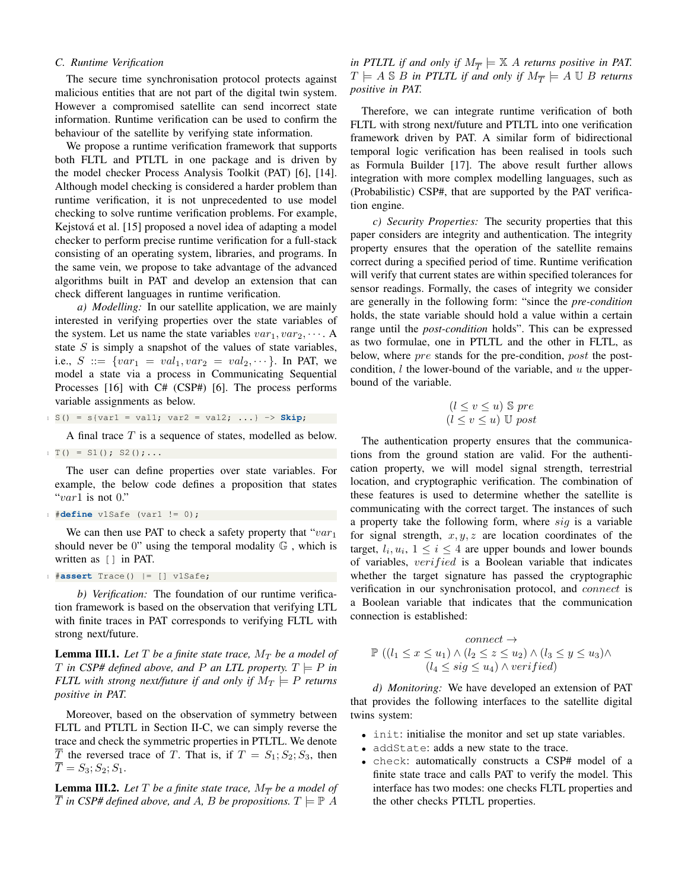### *C. Runtime Verification*

The secure time synchronisation protocol protects against malicious entities that are not part of the digital twin system. However a compromised satellite can send incorrect state information. Runtime verification can be used to confirm the behaviour of the satellite by verifying state information.

We propose a runtime verification framework that supports both FLTL and PTLTL in one package and is driven by the model checker Process Analysis Toolkit (PAT) [6], [14]. Although model checking is considered a harder problem than runtime verification, it is not unprecedented to use model checking to solve runtime verification problems. For example, Kejstová et al. [15] proposed a novel idea of adapting a model checker to perform precise runtime verification for a full-stack consisting of an operating system, libraries, and programs. In the same vein, we propose to take advantage of the advanced algorithms built in PAT and develop an extension that can check different languages in runtime verification.

*a) Modelling:* In our satellite application, we are mainly interested in verifying properties over the state variables of the system. Let us name the state variables  $var_1, var_2, \cdots$ . A state  $S$  is simply a snapshot of the values of state variables, i.e.,  $S := \{ var_1 = val_1, var_2 = val_2, \cdots \}$ . In PAT, we model a state via a process in Communicating Sequential Processes [16] with C# (CSP#) [6]. The process performs variable assignments as below.

 $1 S() = s\{var1 = val1; var2 = val2; ... \} \rightarrow$  **Skip**;

A final trace T is a sequence of states, modelled as below.  $T() = S1()$ ; S2();...

The user can define properties over state variables. For example, the below code defines a proposition that states "var1 is not  $0$ ."

```
1 #define v1Safe (var1 != 0);
```
We can then use PAT to check a safety property that " $var_1$ should never be 0" using the temporal modality  $\mathbb{G}$ , which is written as [] in PAT.

```
1 #assert Trace() |= [] v1Safe;
```
*b) Verification:* The foundation of our runtime verification framework is based on the observation that verifying LTL with finite traces in PAT corresponds to verifying FLTL with strong next/future.

**Lemma III.1.** Let T be a finite state trace,  $M_T$  be a model of T in CSP# defined above, and P an LTL property.  $T \models P$  in *FLTL with strong next/future if and only if*  $M_T \models P$  *returns positive in PAT.*

Moreover, based on the observation of symmetry between FLTL and PTLTL in Section II-C, we can simply reverse the trace and check the symmetric properties in PTLTL. We denote  $\overline{T}$  the reversed trace of T. That is, if  $T = S_1; S_2; S_3$ , then  $\overline{T} = S_3; S_2; S_1.$ 

**Lemma III.2.** Let T be a finite state trace,  $M_{\overline{T}}$  be a model of  $\overline{T}$  *in CSP# defined above, and A, B be propositions.*  $T \models \mathbb{P}$  A

*in PTLTL if and only if*  $M_{\overline{T}} \models \mathbb{X}$  *A returns positive in PAT.*  $T \models A \otimes B$  in PTLTL if and only if  $M_{\overline{T}} \models A \mathbb{U} B$  returns *positive in PAT.*

Therefore, we can integrate runtime verification of both FLTL with strong next/future and PTLTL into one verification framework driven by PAT. A similar form of bidirectional temporal logic verification has been realised in tools such as Formula Builder [17]. The above result further allows integration with more complex modelling languages, such as (Probabilistic) CSP#, that are supported by the PAT verification engine.

*c) Security Properties:* The security properties that this paper considers are integrity and authentication. The integrity property ensures that the operation of the satellite remains correct during a specified period of time. Runtime verification will verify that current states are within specified tolerances for sensor readings. Formally, the cases of integrity we consider are generally in the following form: "since the *pre-condition* holds, the state variable should hold a value within a certain range until the *post-condition* holds". This can be expressed as two formulae, one in PTLTL and the other in FLTL, as below, where *pre* stands for the pre-condition, *post* the postcondition,  $l$  the lower-bound of the variable, and  $u$  the upperbound of the variable.

$$
(l \le v \le u) \mathbb{S} \ pre
$$

$$
(l \le v \le u) \mathbb{U} \ post
$$

The authentication property ensures that the communications from the ground station are valid. For the authentication property, we will model signal strength, terrestrial location, and cryptographic verification. The combination of these features is used to determine whether the satellite is communicating with the correct target. The instances of such a property take the following form, where sig is a variable for signal strength,  $x, y, z$  are location coordinates of the target,  $l_i, u_i, 1 \leq i \leq 4$  are upper bounds and lower bounds of variables, verified is a Boolean variable that indicates whether the target signature has passed the cryptographic verification in our synchronisation protocol, and connect is a Boolean variable that indicates that the communication connection is established:

$$
connect \rightarrow
$$
  
\n
$$
\mathbb{P} \left( (l_1 \le x \le u_1) \land (l_2 \le z \le u_2) \land (l_3 \le y \le u_3) \land (l_4 \le sig \le u_4) \land verifyed \right)
$$

*d) Monitoring:* We have developed an extension of PAT that provides the following interfaces to the satellite digital twins system:

- init: initialise the monitor and set up state variables.
- addState: adds a new state to the trace.
- check: automatically constructs a CSP# model of a finite state trace and calls PAT to verify the model. This interface has two modes: one checks FLTL properties and the other checks PTLTL properties.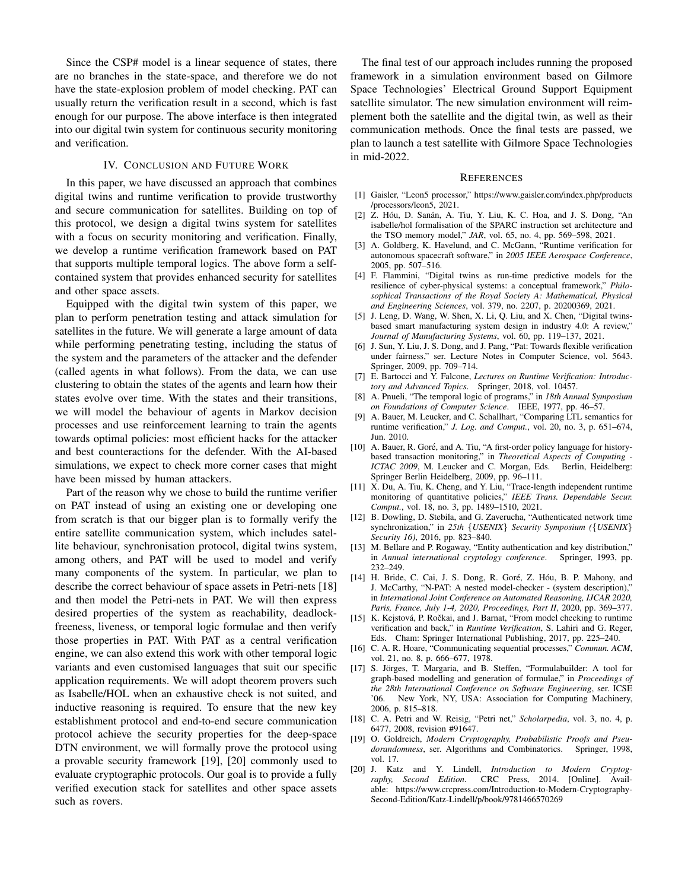Since the CSP# model is a linear sequence of states, there are no branches in the state-space, and therefore we do not have the state-explosion problem of model checking. PAT can usually return the verification result in a second, which is fast enough for our purpose. The above interface is then integrated into our digital twin system for continuous security monitoring and verification.

#### IV. CONCLUSION AND FUTURE WORK

In this paper, we have discussed an approach that combines digital twins and runtime verification to provide trustworthy and secure communication for satellites. Building on top of this protocol, we design a digital twins system for satellites with a focus on security monitoring and verification. Finally, we develop a runtime verification framework based on PAT that supports multiple temporal logics. The above form a selfcontained system that provides enhanced security for satellites and other space assets.

Equipped with the digital twin system of this paper, we plan to perform penetration testing and attack simulation for satellites in the future. We will generate a large amount of data while performing penetrating testing, including the status of the system and the parameters of the attacker and the defender (called agents in what follows). From the data, we can use clustering to obtain the states of the agents and learn how their states evolve over time. With the states and their transitions, we will model the behaviour of agents in Markov decision processes and use reinforcement learning to train the agents towards optimal policies: most efficient hacks for the attacker and best counteractions for the defender. With the AI-based simulations, we expect to check more corner cases that might have been missed by human attackers.

Part of the reason why we chose to build the runtime verifier on PAT instead of using an existing one or developing one from scratch is that our bigger plan is to formally verify the entire satellite communication system, which includes satellite behaviour, synchronisation protocol, digital twins system, among others, and PAT will be used to model and verify many components of the system. In particular, we plan to describe the correct behaviour of space assets in Petri-nets [18] and then model the Petri-nets in PAT. We will then express desired properties of the system as reachability, deadlockfreeness, liveness, or temporal logic formulae and then verify those properties in PAT. With PAT as a central verification engine, we can also extend this work with other temporal logic variants and even customised languages that suit our specific application requirements. We will adopt theorem provers such as Isabelle/HOL when an exhaustive check is not suited, and inductive reasoning is required. To ensure that the new key establishment protocol and end-to-end secure communication protocol achieve the security properties for the deep-space DTN environment, we will formally prove the protocol using a provable security framework [19], [20] commonly used to evaluate cryptographic protocols. Our goal is to provide a fully verified execution stack for satellites and other space assets such as rovers.

The final test of our approach includes running the proposed framework in a simulation environment based on Gilmore Space Technologies' Electrical Ground Support Equipment satellite simulator. The new simulation environment will reimplement both the satellite and the digital twin, as well as their communication methods. Once the final tests are passed, we plan to launch a test satellite with Gilmore Space Technologies in mid-2022.

#### **REFERENCES**

- [1] Gaisler, "Leon5 processor," https://www.gaisler.com/index.php/products /processors/leon5, 2021.
- [2] Z. Hóu, D. Sanán, A. Tiu, Y. Liu, K. C. Hoa, and J. S. Dong, "An isabelle/hol formalisation of the SPARC instruction set architecture and the TSO memory model," *JAR*, vol. 65, no. 4, pp. 569–598, 2021.
- [3] A. Goldberg, K. Havelund, and C. McGann, "Runtime verification for autonomous spacecraft software," in *2005 IEEE Aerospace Conference*, 2005, pp. 507–516.
- [4] F. Flammini, "Digital twins as run-time predictive models for the resilience of cyber-physical systems: a conceptual framework," *Philosophical Transactions of the Royal Society A: Mathematical, Physical and Engineering Sciences*, vol. 379, no. 2207, p. 20200369, 2021.
- [5] J. Leng, D. Wang, W. Shen, X. Li, Q. Liu, and X. Chen, "Digital twinsbased smart manufacturing system design in industry 4.0: A review," *Journal of Manufacturing Systems*, vol. 60, pp. 119–137, 2021.
- [6] J. Sun, Y. Liu, J. S. Dong, and J. Pang, "Pat: Towards flexible verification under fairness," ser. Lecture Notes in Computer Science, vol. 5643. Springer, 2009, pp. 709–714.
- [7] E. Bartocci and Y. Falcone, *Lectures on Runtime Verification: Introductory and Advanced Topics*. Springer, 2018, vol. 10457.
- [8] A. Pnueli, "The temporal logic of programs," in *18th Annual Symposium on Foundations of Computer Science*. IEEE, 1977, pp. 46–57.
- [9] A. Bauer, M. Leucker, and C. Schallhart, "Comparing LTL semantics for runtime verification," *J. Log. and Comput.*, vol. 20, no. 3, p. 651–674, Jun. 2010.
- [10] A. Bauer, R. Goré, and A. Tiu, "A first-order policy language for historybased transaction monitoring," in *Theoretical Aspects of Computing - ICTAC 2009*, M. Leucker and C. Morgan, Eds. Berlin, Heidelberg: Springer Berlin Heidelberg, 2009, pp. 96–111.
- [11] X. Du, A. Tiu, K. Cheng, and Y. Liu, "Trace-length independent runtime monitoring of quantitative policies," *IEEE Trans. Dependable Secur. Comput.*, vol. 18, no. 3, pp. 1489–1510, 2021.
- [12] B. Dowling, D. Stebila, and G. Zaverucha, "Authenticated network time synchronization," in *25th* {*USENIX*} *Security Symposium (*{*USENIX*} *Security 16)*, 2016, pp. 823–840.
- [13] M. Bellare and P. Rogaway, "Entity authentication and key distribution," in *Annual international cryptology conference*. Springer, 1993, pp. 232–249.
- [14] H. Bride, C. Cai, J. S. Dong, R. Goré, Z. Hóu, B. P. Mahony, and J. McCarthy, "N-PAT: A nested model-checker - (system description)," in *International Joint Conference on Automated Reasoning, IJCAR 2020, Paris, France, July 1-4, 2020, Proceedings, Part II*, 2020, pp. 369–377.
- [15] K. Kejstová, P. Ročkai, and J. Barnat, "From model checking to runtime verification and back," in *Runtime Verification*, S. Lahiri and G. Reger, Eds. Cham: Springer International Publishing, 2017, pp. 225–240.
- [16] C. A. R. Hoare, "Communicating sequential processes," *Commun. ACM*, vol. 21, no. 8, p. 666–677, 1978.
- [17] S. Jörges, T. Margaria, and B. Steffen, "Formulabuilder: A tool for graph-based modelling and generation of formulae," in *Proceedings of the 28th International Conference on Software Engineering*, ser. ICSE<br>'06. New York, NY, USA: Association for Computing Machinery, New York, NY, USA: Association for Computing Machinery, 2006, p. 815–818.
- [18] C. A. Petri and W. Reisig, "Petri net," *Scholarpedia*, vol. 3, no. 4, p. 6477, 2008, revision #91647.
- [19] O. Goldreich, *Modern Cryptography*, *Probabilistic Proofs and Pseudorandomness*, ser. Algorithms and Combinatorics. Springer, 1998, vol. 17.
- [20] J. Katz and Y. Lindell, *Introduction to Modern Cryptography, Second Edition*. CRC Press, 2014. [Online]. Available: https://www.crcpress.com/Introduction-to-Modern-Cryptography-Second-Edition/Katz-Lindell/p/book/9781466570269